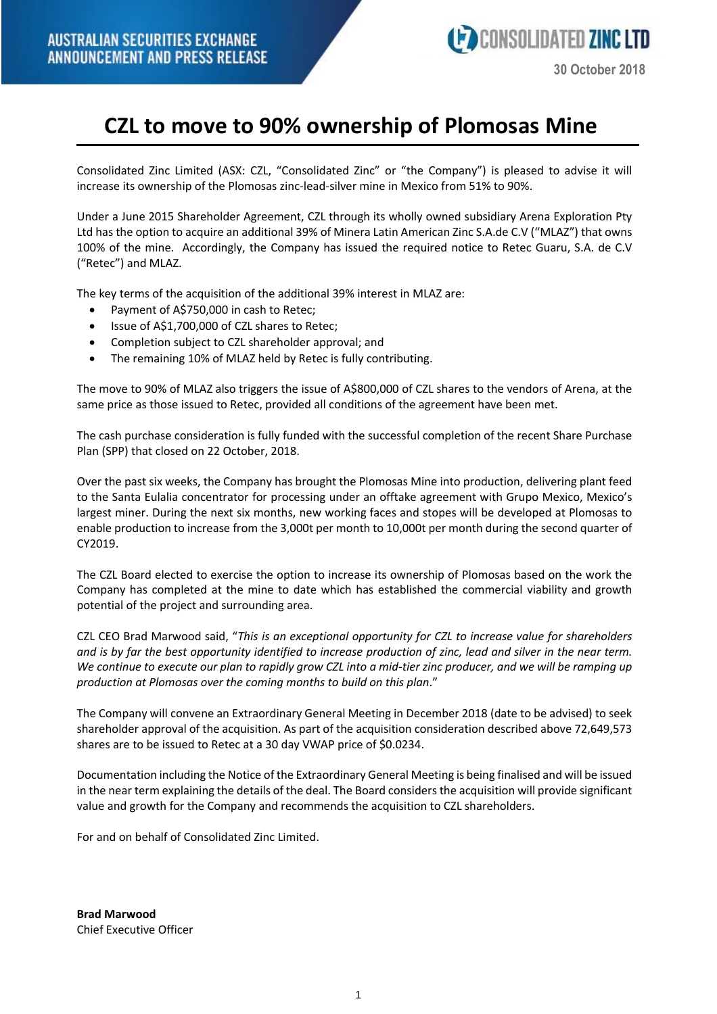## **CZL to move to 90% ownership of Plomosas Mine**

Consolidated Zinc Limited (ASX: CZL, "Consolidated Zinc" or "the Company") is pleased to advise it will increase its ownership of the Plomosas zinc-lead-silver mine in Mexico from 51% to 90%.

Under a June 2015 Shareholder Agreement, CZL through its wholly owned subsidiary Arena Exploration Pty Ltd has the option to acquire an additional 39% of Minera Latin American Zinc S.A.de C.V ("MLAZ") that owns 100% of the mine. Accordingly, the Company has issued the required notice to Retec Guaru, S.A. de C.V ("Retec") and MLAZ.

The key terms of the acquisition of the additional 39% interest in MLAZ are:

- Payment of A\$750,000 in cash to Retec;
- Issue of A\$1,700,000 of CZL shares to Retec;
- Completion subject to CZL shareholder approval; and
- The remaining 10% of MLAZ held by Retec is fully contributing.

The move to 90% of MLAZ also triggers the issue of A\$800,000 of CZL shares to the vendors of Arena, at the same price as those issued to Retec, provided all conditions of the agreement have been met.

The cash purchase consideration is fully funded with the successful completion of the recent Share Purchase Plan (SPP) that closed on 22 October, 2018.

Over the past six weeks, the Company has brought the Plomosas Mine into production, delivering plant feed to the Santa Eulalia concentrator for processing under an offtake agreement with Grupo Mexico, Mexico's largest miner. During the next six months, new working faces and stopes will be developed at Plomosas to enable production to increase from the 3,000t per month to 10,000t per month during the second quarter of CY2019.

The CZL Board elected to exercise the option to increase its ownership of Plomosas based on the work the Company has completed at the mine to date which has established the commercial viability and growth potential of the project and surrounding area.

CZL CEO Brad Marwood said, "*This is an exceptional opportunity for CZL to increase value for shareholders* and is by far the best opportunity identified to increase production of zinc, lead and silver in the near term. We continue to execute our plan to rapidly grow CZL into a mid-tier zinc producer, and we will be ramping up *production at Plomosas over the coming months to build on this plan*."

The Company will convene an Extraordinary General Meeting in December 2018 (date to be advised) to seek shareholder approval of the acquisition. As part of the acquisition consideration described above 72,649,573 shares are to be issued to Retec at a 30 day VWAP price of \$0.0234.

Documentation including the Notice of the Extraordinary General Meeting is being finalised and will be issued in the near term explaining the details of the deal. The Board considers the acquisition will provide significant value and growth for the Company and recommends the acquisition to CZL shareholders.

For and on behalf of Consolidated Zinc Limited.

**Brad Marwood** Chief Executive Officer